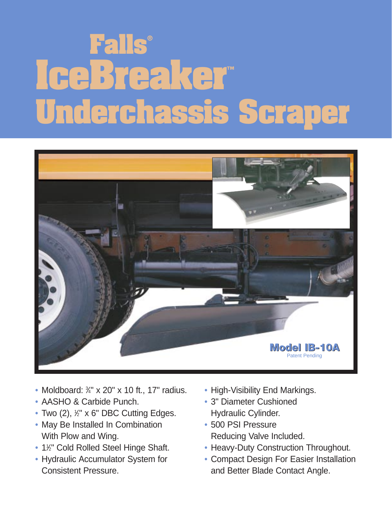# **Falls® IceBreaker™ Underchassis Scraper**



- Moldboard:  $\frac{3}{4}$ " x 20" x 10 ft., 17" radius.
- AASHO & Carbide Punch.
- Two (2), ½" x 6" DBC Cutting Edges.
- May Be Installed In Combination With Plow and Wing.
- 1<sup>'</sup>/<sub>2</sub>" Cold Rolled Steel Hinge Shaft.
- Hydraulic Accumulator System for Consistent Pressure.
- High-Visibility End Markings.
- 3" Diameter Cushioned Hydraulic Cylinder.
- 500 PSI Pressure Reducing Valve Included.
- Heavy-Duty Construction Throughout.
- Compact Design For Easier Installation and Better Blade Contact Angle.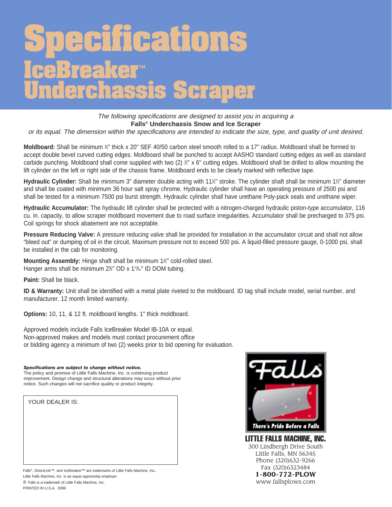### **Specifications IceBreaker™ Underchassis Scraper**

The following specifications are designed to assist you in acquiring a **Falls® Underchassis Snow and Ice Scraper**

or its equal. The dimension within the specifications are intended to indicate the size, type, and quality of unit desired.

**Moldboard:** Shall be minimum <sup>*y*4"</sup> thick x 20" SEF 40/50 carbon steel smooth rolled to a 17" radius. Moldboard shall be formed to accept double bevel curved cutting edges. Moldboard shall be punched to accept AASHO standard cutting edges as well as standard carbide punching. Moldboard shall come supplied with two (2)  $\frac{1}{2}$ " x 6" cutting edges. Moldboard shall be drilled to allow mounting the lift cylinder on the left or right side of the chassis frame. Moldboard ends to be clearly marked with reflective tape.

Hydraulic Cylinder: Shall be minimum 3" diameter double acting with 11½" stroke. The cylinder shaft shall be minimum 1½" diameter and shall be coated with minimum 36 hour salt spray chrome. Hydraulic cylinder shall have an operating pressure of 2500 psi and shall be tested for a minimum 7500 psi burst strength. Hydraulic cylinder shall have urethane Poly-pack seals and urethane wiper.

**Hydraulic Accumulator:** The hydraulic lift cylinder shall be protected with a nitrogen-charged hydraulic piston-type accumulator, 116 cu. in. capacity, to allow scraper moldboard movement due to road surface irregularities. Accumulator shall be precharged to 375 psi. Coil springs for shock abatement are not acceptable.

**Pressure Reducing Valve:** A pressure reducing valve shall be provided for installation in the accumulator circuit and shall not allow "bleed out" or dumping of oil in the circuit. Maximum pressure not to exceed 500 psi. A liquid-filled pressure gauge, 0-1000 psi, shall be installed in the cab for monitoring.

**Mounting Assembly:** Hinge shaft shall be minimum 1<sup>1/2</sup> cold-rolled steel. Hanger arms shall be minimum 2%" OD x 1<sup>13</sup>%" ID DOM tubing.

**Paint:** Shall be black.

**ID & Warranty:** Unit shall be identified with a metal plate riveted to the moldboard. ID tag shall include model, serial number, and manufacturer. 12 month limited warranty.

**Options:** 10, 11, & 12 ft. moldboard lengths. 1" thick moldboard.

Approved models include Falls IceBreaker Model IB-10A or equal. Non-approved makes and models must contact procurement office or bidding agency a minimum of two (2) weeks prior to bid opening for evaluation.

### *Specifications are subject to change without notice.*

The policy and promise of Little Falls Machine, Inc. is continuing product improvement. Design change and structural alterations may occur without prior notice. Such changes will not sacrifice quality or product integrity.

YOUR DEALER IS:

*There's Pride Before a Falls* ®

LITTLE FALLS MACHINE, INC. 300 Lindbergh Drive South Little Falls, MN 56345 Phone (320)632-9266 Fax (320)6323484 **1-800-772-PLOW** www.fallsplows.com

Falls<sup>®</sup>, DirectLink™, and IceBreaker™ are trademarks of Little Falls Machine, Inc. Little Falls Machine, Inc. is an equal opportunity employer. ® Falls is a trademark of Little Falls Machine, Inc. PRINTED IN U.S.A. 0399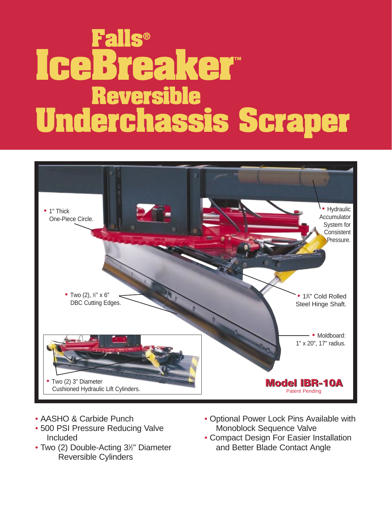## **Falls® IceBreaker™ Reversible Underchassis Scraper**



- AASHO & Carbide Punch
- 500 PSI Pressure Reducing Valve Included
- Two (2) Double-Acting 3<sup>1/2</sup> Diameter Reversible Cylinders
- Optional Power Lock Pins Available with Monoblock Sequence Valve
- Compact Design For Easier Installation and Better Blade Contact Angle